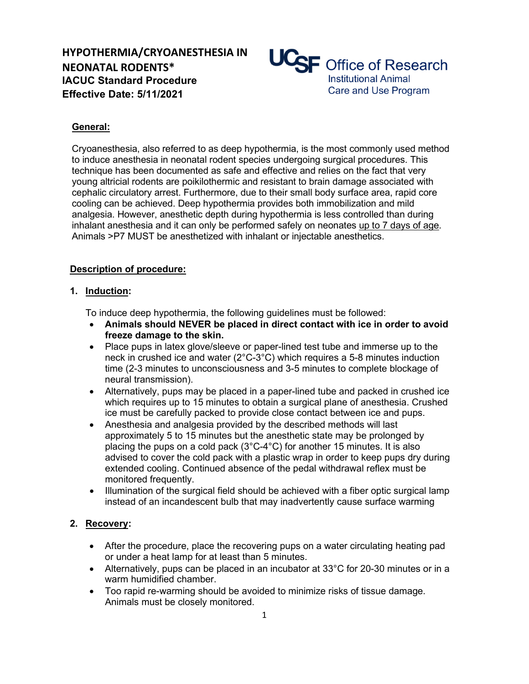

# **General:**

Cryoanesthesia, also referred to as deep hypothermia, is the most commonly used method to induce anesthesia in neonatal rodent species undergoing surgical procedures. This technique has been documented as safe and effective and relies on the fact that very young altricial rodents are poikilothermic and resistant to brain damage associated with cephalic circulatory arrest. Furthermore, due to their small body surface area, rapid core cooling can be achieved. Deep hypothermia provides both immobilization and mild analgesia. However, anesthetic depth during hypothermia is less controlled than during inhalant anesthesia and it can only be performed safely on neonates up to 7 days of age. Animals >P7 MUST be anesthetized with inhalant or injectable anesthetics.

## **Description of procedure:**

## **1. Induction:**

To induce deep hypothermia, the following guidelines must be followed:

- **Animals should NEVER be placed in direct contact with ice in order to avoid freeze damage to the skin.**
- Place pups in latex glove/sleeve or paper-lined test tube and immerse up to the neck in crushed ice and water (2°C-3°C) which requires a 5-8 minutes induction time (2-3 minutes to unconsciousness and 3-5 minutes to complete blockage of neural transmission).
- Alternatively, pups may be placed in a paper-lined tube and packed in crushed ice which requires up to 15 minutes to obtain a surgical plane of anesthesia. Crushed ice must be carefully packed to provide close contact between ice and pups.
- Anesthesia and analgesia provided by the described methods will last approximately 5 to 15 minutes but the anesthetic state may be prolonged by placing the pups on a cold pack (3°C-4°C) for another 15 minutes. It is also advised to cover the cold pack with a plastic wrap in order to keep pups dry during extended cooling. Continued absence of the pedal withdrawal reflex must be monitored frequently.
- Illumination of the surgical field should be achieved with a fiber optic surgical lamp instead of an incandescent bulb that may inadvertently cause surface warming

# **2. Recovery:**

- After the procedure, place the recovering pups on a water circulating heating pad or under a heat lamp for at least than 5 minutes.
- Alternatively, pups can be placed in an incubator at 33°C for 20-30 minutes or in a warm humidified chamber.
- Too rapid re-warming should be avoided to minimize risks of tissue damage. Animals must be closely monitored.